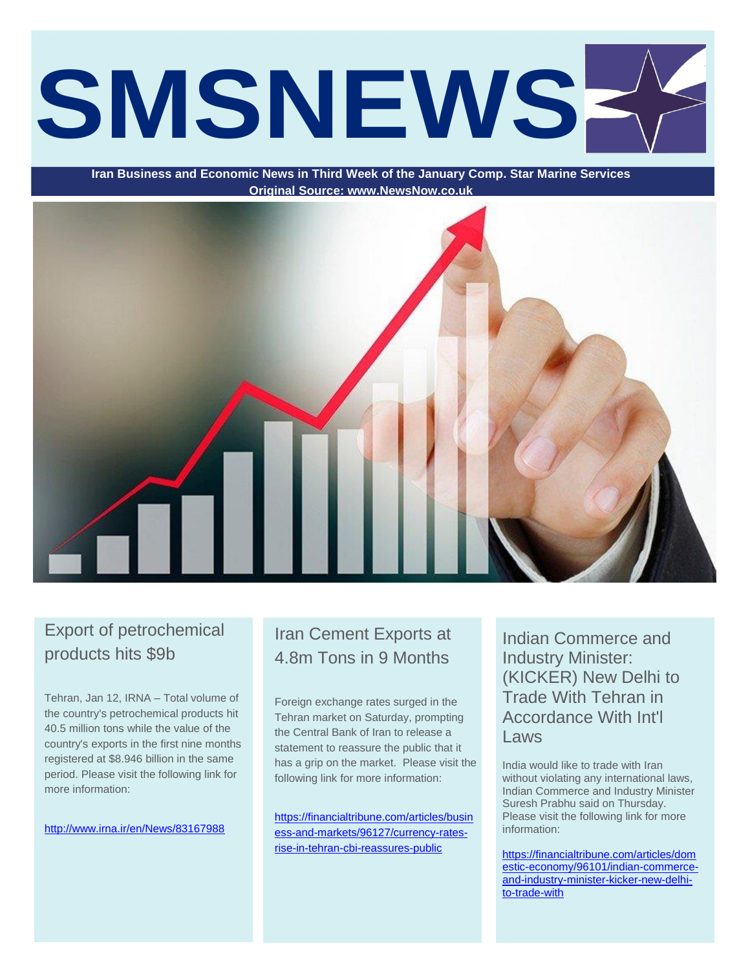# **SMSNEWS**

**Iran Business and Economic News in Third Week of the January Comp. Star Marine Services Original Source: www.NewsNow.co.uk**



# Export of petrochemical products hits \$9b

Tehran, Jan 12, IRNA – Total volume of the country's petrochemical products hit 40.5 million tons while the value of the country's exports in the first nine months registered at \$8.946 billion in the same period. Please visit the following link for more information:

<http://www.irna.ir/en/News/83167988>

# Iran Cement Exports at 4.8m Tons in 9 Months

Foreign exchange rates surged in the Tehran market on Saturday, prompting the Central Bank of Iran to release a statement to reassure the public that it has a grip on the market. Please visit the following link for more information:

[https://financialtribune.com/articles/busin](https://financialtribune.com/articles/business-and-markets/96127/currency-rates-rise-in-tehran-cbi-reassures-public) [ess-and-markets/96127/currency-rates](https://financialtribune.com/articles/business-and-markets/96127/currency-rates-rise-in-tehran-cbi-reassures-public)[rise-in-tehran-cbi-reassures-public](https://financialtribune.com/articles/business-and-markets/96127/currency-rates-rise-in-tehran-cbi-reassures-public)

Indian Commerce and Industry Minister: (KICKER) New Delhi to Trade With Tehran in Accordance With Int'l Laws

India would like to trade with Iran without violating any international laws, Indian Commerce and Industry Minister Suresh Prabhu said on Thursday. Please visit the following link for more information:

[https://financialtribune.com/articles/dom](https://financialtribune.com/articles/domestic-economy/96101/indian-commerce-and-industry-minister-kicker-new-delhi-to-trade-with) [estic-economy/96101/indian-commerce](https://financialtribune.com/articles/domestic-economy/96101/indian-commerce-and-industry-minister-kicker-new-delhi-to-trade-with)[and-industry-minister-kicker-new-delhi](https://financialtribune.com/articles/domestic-economy/96101/indian-commerce-and-industry-minister-kicker-new-delhi-to-trade-with)[to-trade-with](https://financialtribune.com/articles/domestic-economy/96101/indian-commerce-and-industry-minister-kicker-new-delhi-to-trade-with)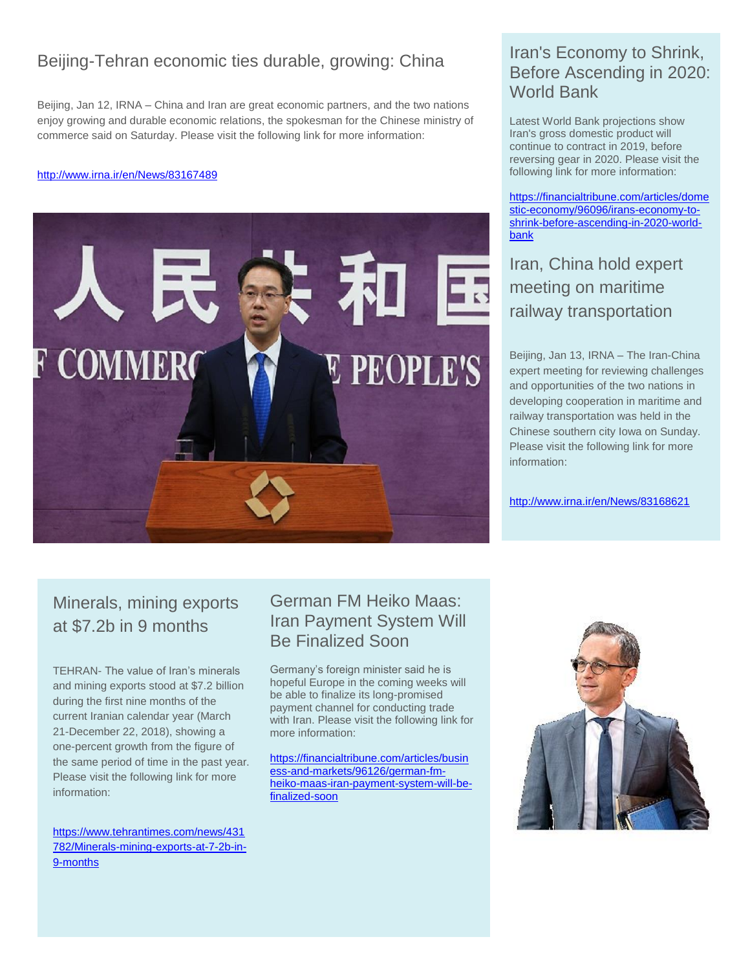# Beijing-Tehran economic ties durable, growing: China

Beijing, Jan 12, IRNA – China and Iran are great economic partners, and the two nations enjoy growing and durable economic relations, the spokesman for the Chinese ministry of commerce said on Saturday. Please visit the following link for more information:

#### <http://www.irna.ir/en/News/83167489>



#### Iran's Economy to Shrink, Before Ascending in 2020: World Bank

Latest World Bank projections show Iran's gross domestic product will continue to contract in 2019, before reversing gear in 2020. Please visit the following link for more information:

[https://financialtribune.com/articles/dome](https://financialtribune.com/articles/domestic-economy/96096/irans-economy-to-shrink-before-ascending-in-2020-world-bank) [stic-economy/96096/irans-economy-to](https://financialtribune.com/articles/domestic-economy/96096/irans-economy-to-shrink-before-ascending-in-2020-world-bank)[shrink-before-ascending-in-2020-world](https://financialtribune.com/articles/domestic-economy/96096/irans-economy-to-shrink-before-ascending-in-2020-world-bank)[bank](https://financialtribune.com/articles/domestic-economy/96096/irans-economy-to-shrink-before-ascending-in-2020-world-bank)

# Iran, China hold expert meeting on maritime railway transportation

Beijing, Jan 13, IRNA – The Iran-China expert meeting for reviewing challenges and opportunities of the two nations in developing cooperation in maritime and railway transportation was held in the Chinese southern city Iowa on Sunday. Please visit the following link for more information:

<http://www.irna.ir/en/News/83168621>

# Minerals, mining exports at \$7.2b in 9 months

TEHRAN- The value of Iran's minerals and mining exports stood at \$7.2 billion during the first nine months of the current Iranian calendar year (March 21-December 22, 2018), showing a one-percent growth from the figure of the same period of time in the past year. Please visit the following link for more information:

[https://www.tehrantimes.com/news/431](https://www.tehrantimes.com/news/431782/Minerals-mining-exports-at-7-2b-in-9-months) [782/Minerals-mining-exports-at-7-2b-in-](https://www.tehrantimes.com/news/431782/Minerals-mining-exports-at-7-2b-in-9-months)[9-months](https://www.tehrantimes.com/news/431782/Minerals-mining-exports-at-7-2b-in-9-months)

### German FM Heiko Maas: Iran Payment System Will Be Finalized Soon

Germany's foreign minister said he is hopeful Europe in the coming weeks will be able to finalize its long-promised payment channel for conducting trade with Iran. Please visit the following link for more information:

[https://financialtribune.com/articles/busin](https://financialtribune.com/articles/business-and-markets/96126/german-fm-heiko-maas-iran-payment-system-will-be-finalized-soon) [ess-and-markets/96126/german-fm](https://financialtribune.com/articles/business-and-markets/96126/german-fm-heiko-maas-iran-payment-system-will-be-finalized-soon)[heiko-maas-iran-payment-system-will-be](https://financialtribune.com/articles/business-and-markets/96126/german-fm-heiko-maas-iran-payment-system-will-be-finalized-soon)[finalized-soon](https://financialtribune.com/articles/business-and-markets/96126/german-fm-heiko-maas-iran-payment-system-will-be-finalized-soon)

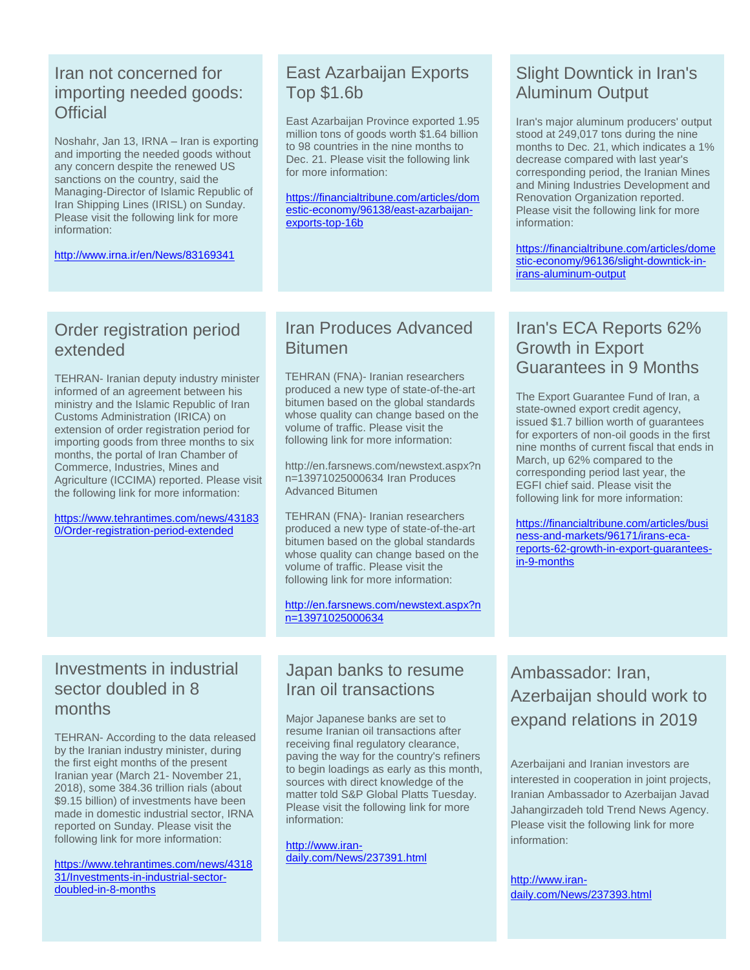#### Iran not concerned for importing needed goods: **Official**

Noshahr, Jan 13, IRNA – Iran is exporting and importing the needed goods without any concern despite the renewed US sanctions on the country, said the Managing-Director of Islamic Republic of Iran Shipping Lines (IRISL) on Sunday. Please visit the following link for more information:

<http://www.irna.ir/en/News/83169341>

#### East Azarbaijan Exports Top \$1.6b

East Azarbaijan Province exported 1.95 million tons of goods worth \$1.64 billion to 98 countries in the nine months to Dec. 21. Please visit the following link for more information:

[https://financialtribune.com/articles/dom](https://financialtribune.com/articles/domestic-economy/96138/east-azarbaijan-exports-top-16b) [estic-economy/96138/east-azarbaijan](https://financialtribune.com/articles/domestic-economy/96138/east-azarbaijan-exports-top-16b)[exports-top-16b](https://financialtribune.com/articles/domestic-economy/96138/east-azarbaijan-exports-top-16b)

# Slight Downtick in Iran's Aluminum Output

Iran's major aluminum producers' output stood at 249,017 tons during the nine months to Dec. 21, which indicates a 1% decrease compared with last year's corresponding period, the Iranian Mines and Mining Industries Development and Renovation Organization reported. Please visit the following link for more information:

[https://financialtribune.com/articles/dome](https://financialtribune.com/articles/domestic-economy/96136/slight-downtick-in-irans-aluminum-output) [stic-economy/96136/slight-downtick-in](https://financialtribune.com/articles/domestic-economy/96136/slight-downtick-in-irans-aluminum-output)[irans-aluminum-output](https://financialtribune.com/articles/domestic-economy/96136/slight-downtick-in-irans-aluminum-output)

#### Order registration period extended

TEHRAN- Iranian deputy industry minister informed of an agreement between his ministry and the Islamic Republic of Iran Customs Administration (IRICA) on extension of order registration period for importing goods from three months to six months, the portal of Iran Chamber of Commerce, Industries, Mines and Agriculture (ICCIMA) reported. Please visit the following link for more information:

[https://www.tehrantimes.com/news/43183](https://www.tehrantimes.com/news/431830/Order-registration-period-extended) [0/Order-registration-period-extended](https://www.tehrantimes.com/news/431830/Order-registration-period-extended)

#### Iran Produces Advanced Bitumen

TEHRAN (FNA)- Iranian researchers produced a new type of state-of-the-art bitumen based on the global standards whose quality can change based on the volume of traffic. Please visit the following link for more information:

http://en.farsnews.com/newstext.aspx?n n=13971025000634 Iran Produces Advanced Bitumen

TEHRAN (FNA)- Iranian researchers produced a new type of state-of-the-art bitumen based on the global standards whose quality can change based on the volume of traffic. Please visit the following link for more information:

[http://en.farsnews.com/newstext.aspx?n](http://en.farsnews.com/newstext.aspx?nn=13971025000634) [n=13971025000634](http://en.farsnews.com/newstext.aspx?nn=13971025000634)

#### Investments in industrial sector doubled in 8 months

TEHRAN- According to the data released by the Iranian industry minister, during the first eight months of the present Iranian year (March 21- November 21, 2018), some 384.36 trillion rials (about \$9.15 billion) of investments have been made in domestic industrial sector, IRNA reported on Sunday. Please visit the following link for more information:

[https://www.tehrantimes.com/news/4318](https://www.tehrantimes.com/news/431831/Investments-in-industrial-sector-doubled-in-8-months) [31/Investments-in-industrial-sector](https://www.tehrantimes.com/news/431831/Investments-in-industrial-sector-doubled-in-8-months)[doubled-in-8-months](https://www.tehrantimes.com/news/431831/Investments-in-industrial-sector-doubled-in-8-months)

#### Japan banks to resume Iran oil transactions

Major Japanese banks are set to resume Iranian oil transactions after receiving final regulatory clearance, paving the way for the country's refiners to begin loadings as early as this month, sources with direct knowledge of the matter told S&P Global Platts Tuesday. Please visit the following link for more information:

[http://www.iran](http://www.iran-daily.com/News/237391.html)[daily.com/News/237391.html](http://www.iran-daily.com/News/237391.html)

#### Iran's ECA Reports 62% Growth in Export Guarantees in 9 Months

The Export Guarantee Fund of Iran, a state-owned export credit agency, issued \$1.7 billion worth of guarantees for exporters of non-oil goods in the first nine months of current fiscal that ends in March, up 62% compared to the corresponding period last year, the EGFI chief said. Please visit the following link for more information:

[https://financialtribune.com/articles/busi](https://financialtribune.com/articles/business-and-markets/96171/irans-eca-reports-62-growth-in-export-guarantees-in-9-months) [ness-and-markets/96171/irans-eca](https://financialtribune.com/articles/business-and-markets/96171/irans-eca-reports-62-growth-in-export-guarantees-in-9-months)[reports-62-growth-in-export-guarantees](https://financialtribune.com/articles/business-and-markets/96171/irans-eca-reports-62-growth-in-export-guarantees-in-9-months)[in-9-months](https://financialtribune.com/articles/business-and-markets/96171/irans-eca-reports-62-growth-in-export-guarantees-in-9-months)

Ambassador: Iran, Azerbaijan should work to expand relations in 2019

Azerbaijani and Iranian investors are interested in cooperation in joint projects, Iranian Ambassador to Azerbaijan Javad Jahangirzadeh told Trend News Agency. Please visit the following link for more information:

[http://www.iran](http://www.iran-daily.com/News/237393.html)[daily.com/News/237393.html](http://www.iran-daily.com/News/237393.html)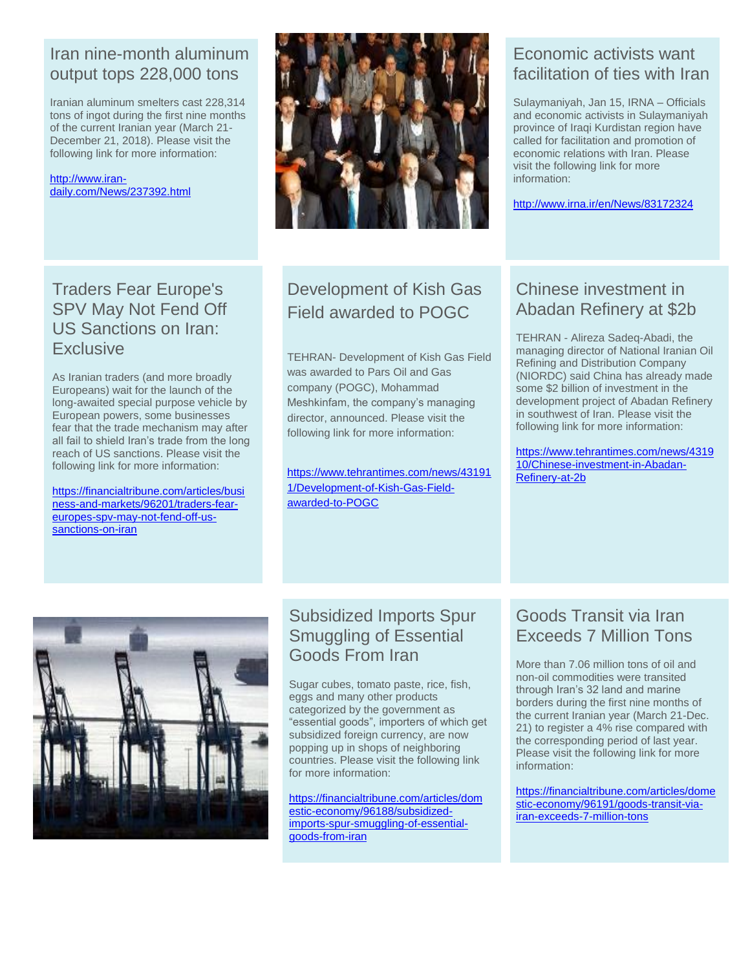#### Iran nine-month aluminum output tops 228,000 tons

Iranian aluminum smelters cast 228,314 tons of ingot during the first nine months of the current Iranian year (March 21- December 21, 2018). Please visit the following link for more information:

[http://www.iran](http://www.iran-daily.com/News/237392.html)[daily.com/News/237392.html](http://www.iran-daily.com/News/237392.html)

Traders Fear Europe's SPV May Not Fend Off US Sanctions on Iran: **Exclusive** 

As Iranian traders (and more broadly Europeans) wait for the launch of the long-awaited special purpose vehicle by European powers, some businesses fear that the trade mechanism may after all fail to shield Iran's trade from the long reach of US sanctions. Please visit the following link for more information:

[https://financialtribune.com/articles/busi](https://financialtribune.com/articles/business-and-markets/96201/traders-fear-europes-spv-may-not-fend-off-us-sanctions-on-iran) [ness-and-markets/96201/traders-fear](https://financialtribune.com/articles/business-and-markets/96201/traders-fear-europes-spv-may-not-fend-off-us-sanctions-on-iran)[europes-spv-may-not-fend-off-us](https://financialtribune.com/articles/business-and-markets/96201/traders-fear-europes-spv-may-not-fend-off-us-sanctions-on-iran)[sanctions-on-iran](https://financialtribune.com/articles/business-and-markets/96201/traders-fear-europes-spv-may-not-fend-off-us-sanctions-on-iran)



# Development of Kish Gas Field awarded to POGC

TEHRAN- Development of Kish Gas Field was awarded to Pars Oil and Gas company (POGC), Mohammad Meshkinfam, the company's managing director, announced. Please visit the following link for more information:

[https://www.tehrantimes.com/news/43191](https://www.tehrantimes.com/news/431911/Development-of-Kish-Gas-Field-awarded-to-POGC) [1/Development-of-Kish-Gas-Field](https://www.tehrantimes.com/news/431911/Development-of-Kish-Gas-Field-awarded-to-POGC)[awarded-to-POGC](https://www.tehrantimes.com/news/431911/Development-of-Kish-Gas-Field-awarded-to-POGC)

#### Economic activists want facilitation of ties with Iran

Sulaymaniyah, Jan 15, IRNA – Officials and economic activists in Sulaymaniyah province of Iraqi Kurdistan region have called for facilitation and promotion of economic relations with Iran. Please visit the following link for more information:

<http://www.irna.ir/en/News/83172324>

# Chinese investment in Abadan Refinery at \$2b

TEHRAN - Alireza Sadeq-Abadi, the managing director of National Iranian Oil Refining and Distribution Company (NIORDC) said China has already made some \$2 billion of investment in the development project of Abadan Refinery in southwest of Iran. Please visit the following link for more information:

[https://www.tehrantimes.com/news/4319](https://www.tehrantimes.com/news/431910/Chinese-investment-in-Abadan-Refinery-at-2b) [10/Chinese-investment-in-Abadan-](https://www.tehrantimes.com/news/431910/Chinese-investment-in-Abadan-Refinery-at-2b)[Refinery-at-2b](https://www.tehrantimes.com/news/431910/Chinese-investment-in-Abadan-Refinery-at-2b)



# Subsidized Imports Spur Smuggling of Essential Goods From Iran

Sugar cubes, tomato paste, rice, fish, eggs and many other products categorized by the government as "essential goods", importers of which get subsidized foreign currency, are now popping up in shops of neighboring countries. Please visit the following link for more information:

[https://financialtribune.com/articles/dom](https://financialtribune.com/articles/domestic-economy/96188/subsidized-imports-spur-smuggling-of-essential-goods-from-iran) [estic-economy/96188/subsidized](https://financialtribune.com/articles/domestic-economy/96188/subsidized-imports-spur-smuggling-of-essential-goods-from-iran)[imports-spur-smuggling-of-essential](https://financialtribune.com/articles/domestic-economy/96188/subsidized-imports-spur-smuggling-of-essential-goods-from-iran)[goods-from-iran](https://financialtribune.com/articles/domestic-economy/96188/subsidized-imports-spur-smuggling-of-essential-goods-from-iran)

#### Goods Transit via Iran Exceeds 7 Million Tons

More than 7.06 million tons of oil and non-oil commodities were transited through Iran's 32 land and marine borders during the first nine months of the current Iranian year (March 21-Dec. 21) to register a 4% rise compared with the corresponding period of last year. Please visit the following link for more information:

[https://financialtribune.com/articles/dome](https://financialtribune.com/articles/domestic-economy/96191/goods-transit-via-iran-exceeds-7-million-tons) [stic-economy/96191/goods-transit-via](https://financialtribune.com/articles/domestic-economy/96191/goods-transit-via-iran-exceeds-7-million-tons)[iran-exceeds-7-million-tons](https://financialtribune.com/articles/domestic-economy/96191/goods-transit-via-iran-exceeds-7-million-tons)